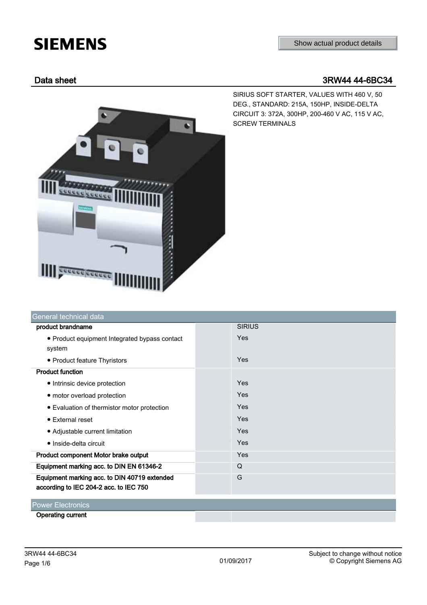# **SIEMENS**

# Data sheet 3RW44 44-6BC34

SIRIUS SOFT STARTER, VALUES WITH 460 V, 50 DEG., STANDARD: 215A, 150HP, INSIDE-DELTA CIRCUIT 3: 372A, 300HP, 200-460 V AC, 115 V AC, SCREW TERMINALS



| General technical data                        |               |
|-----------------------------------------------|---------------|
| product brandname                             | <b>SIRIUS</b> |
| • Product equipment Integrated bypass contact | Yes           |
| system                                        |               |
| • Product feature Thyristors                  | Yes           |
| <b>Product function</b>                       |               |
| • Intrinsic device protection                 | Yes           |
| • motor overload protection                   | Yes           |
| • Evaluation of thermistor motor protection   | Yes           |
| • External reset                              | Yes           |
| • Adjustable current limitation               | Yes           |
| • Inside-delta circuit                        | Yes           |
| Product component Motor brake output          | Yes           |
| Equipment marking acc. to DIN EN 61346-2      | Q             |
| Equipment marking acc. to DIN 40719 extended  | G             |
| according to IEC 204-2 acc. to IEC 750        |               |
| <b>Power Electronics</b>                      |               |
| <b>Operating current</b>                      |               |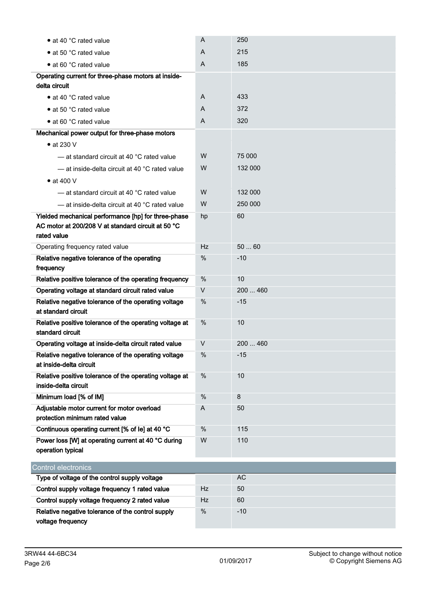| • at 40 °C rated value                                                                                      | A    | 250      |
|-------------------------------------------------------------------------------------------------------------|------|----------|
| • at 50 °C rated value                                                                                      | A    | 215      |
| • at 60 °C rated value                                                                                      | A    | 185      |
| Operating current for three-phase motors at inside-                                                         |      |          |
| delta circuit                                                                                               |      |          |
| • at 40 °C rated value                                                                                      | A    | 433      |
| • at 50 °C rated value                                                                                      | A    | 372      |
| • at 60 °C rated value                                                                                      | A    | 320      |
| Mechanical power output for three-phase motors                                                              |      |          |
| $\bullet$ at 230 V                                                                                          |      |          |
| - at standard circuit at 40 °C rated value                                                                  | W    | 75 000   |
| - at inside-delta circuit at 40 °C rated value                                                              | W    | 132 000  |
| $\bullet$ at 400 V                                                                                          |      |          |
| - at standard circuit at 40 °C rated value                                                                  | W    | 132 000  |
| - at inside-delta circuit at 40 °C rated value                                                              | W    | 250 000  |
| Yielded mechanical performance [hp] for three-phase                                                         | hp   | 60       |
| AC motor at 200/208 V at standard circuit at 50 °C                                                          |      |          |
| rated value                                                                                                 |      |          |
| Operating frequency rated value                                                                             | Hz   | 5060     |
| Relative negative tolerance of the operating                                                                | $\%$ | $-10$    |
| frequency                                                                                                   | $\%$ | 10       |
| Relative positive tolerance of the operating frequency<br>Operating voltage at standard circuit rated value | V    | 200  460 |
| Relative negative tolerance of the operating voltage                                                        | %    | $-15$    |
| at standard circuit                                                                                         |      |          |
| Relative positive tolerance of the operating voltage at                                                     | %    | 10       |
| standard circuit                                                                                            |      |          |
| Operating voltage at inside-delta circuit rated value                                                       | V    | 200  460 |
| Relative negative tolerance of the operating voltage                                                        | $\%$ | $-15$    |
| at inside-delta circuit                                                                                     |      |          |
| Relative positive tolerance of the operating voltage at                                                     | $\%$ | 10       |
| inside-delta circuit<br>Minimum load [% of IM]                                                              | %    | 8        |
| Adjustable motor current for motor overload                                                                 | A    | 50       |
| protection minimum rated value                                                                              |      |          |
| Continuous operating current [% of le] at 40 °C                                                             | $\%$ | 115      |
| Power loss [W] at operating current at 40 °C during                                                         | W    | 110      |
| operation typical                                                                                           |      |          |
| <b>Control electronics</b>                                                                                  |      |          |
| Type of voltage of the control supply voltage                                                               |      | AC       |
| Control supply voltage frequency 1 rated value                                                              | Hz   | 50       |
| Control supply voltage frequency 2 rated value                                                              | Hz   | 60       |
| Relative negative tolerance of the control supply                                                           | %    | $-10$    |
| voltage frequency                                                                                           |      |          |
|                                                                                                             |      |          |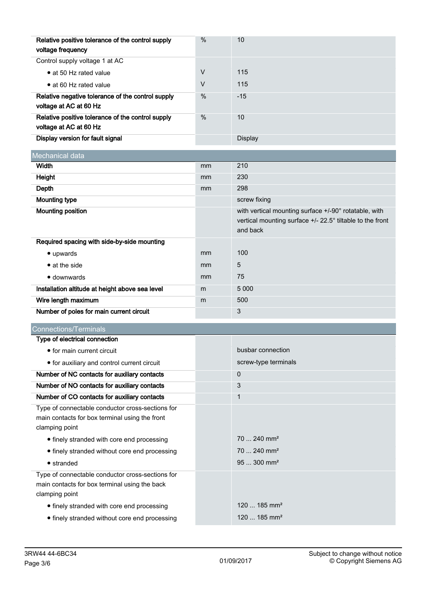| Relative positive tolerance of the control supply<br>voltage frequency      | $\%$ | 10      |
|-----------------------------------------------------------------------------|------|---------|
| Control supply voltage 1 at AC                                              |      |         |
| • at 50 Hz rated value                                                      | V    | 115     |
| • at 60 Hz rated value                                                      | V    | 115     |
| Relative negative tolerance of the control supply<br>voltage at AC at 60 Hz | $\%$ | $-15$   |
| Relative positive tolerance of the control supply<br>voltage at AC at 60 Hz | $\%$ | 10      |
| Display version for fault signal                                            |      | Display |

| Mechanical data                                 |    |                                                                                                                                             |
|-------------------------------------------------|----|---------------------------------------------------------------------------------------------------------------------------------------------|
| Width                                           | mm | 210                                                                                                                                         |
| Height                                          | mm | 230                                                                                                                                         |
| Depth                                           | mm | 298                                                                                                                                         |
| <b>Mounting type</b>                            |    | screw fixing                                                                                                                                |
| Mounting position                               |    | with vertical mounting surface +/-90° rotatable, with<br>vertical mounting surface $+/$ - 22.5 $^{\circ}$ tiltable to the front<br>and back |
| Required spacing with side-by-side mounting     |    |                                                                                                                                             |
| $\bullet$ upwards                               | mm | 100                                                                                                                                         |
| $\bullet$ at the side                           | mm | 5                                                                                                                                           |
| $\bullet$ downwards                             | mm | 75                                                                                                                                          |
| Installation altitude at height above sea level | m  | 5 0 0 0                                                                                                                                     |
| Wire length maximum                             | m  | 500                                                                                                                                         |
| Number of poles for main current circuit        |    | 3                                                                                                                                           |

| <b>Connections/Terminals</b>                                                                                         |                            |  |
|----------------------------------------------------------------------------------------------------------------------|----------------------------|--|
| Type of electrical connection                                                                                        |                            |  |
| • for main current circuit                                                                                           | busbar connection          |  |
| • for auxiliary and control current circuit                                                                          | screw-type terminals       |  |
| Number of NC contacts for auxiliary contacts                                                                         | $\Omega$                   |  |
| Number of NO contacts for auxiliary contacts                                                                         | 3                          |  |
| Number of CO contacts for auxiliary contacts                                                                         | 1                          |  |
| Type of connectable conductor cross-sections for<br>main contacts for box terminal using the front<br>clamping point |                            |  |
| • finely stranded with core end processing                                                                           | $70 - 240$ mm <sup>2</sup> |  |
| • finely stranded without core end processing                                                                        | $70240$ mm <sup>2</sup>    |  |
| $\bullet$ stranded                                                                                                   | $95300$ mm <sup>2</sup>    |  |
| Type of connectable conductor cross-sections for<br>main contacts for box terminal using the back<br>clamping point  |                            |  |
| • finely stranded with core end processing                                                                           | $120185$ mm <sup>2</sup>   |  |
| • finely stranded without core end processing                                                                        | $120185$ mm <sup>2</sup>   |  |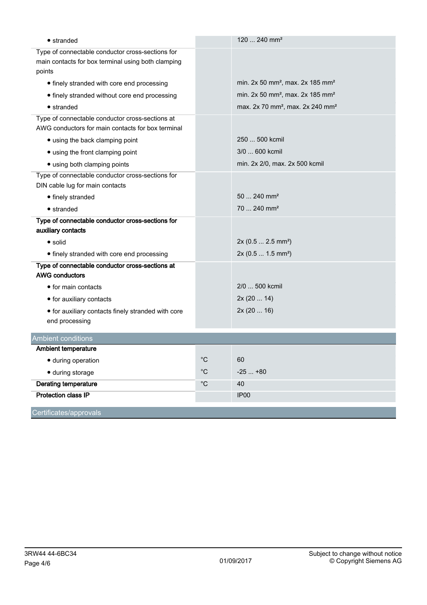| $\bullet$ stranded                                                       |              | 120  240 mm <sup>2</sup>                                 |
|--------------------------------------------------------------------------|--------------|----------------------------------------------------------|
| Type of connectable conductor cross-sections for                         |              |                                                          |
| main contacts for box terminal using both clamping<br>points             |              |                                                          |
| • finely stranded with core end processing                               |              | min. 2x 50 mm <sup>2</sup> , max. 2x 185 mm <sup>2</sup> |
| • finely stranded without core end processing                            |              | min. 2x 50 mm <sup>2</sup> , max. 2x 185 mm <sup>2</sup> |
| $\bullet$ stranded                                                       |              | max. 2x 70 mm <sup>2</sup> , max. 2x 240 mm <sup>2</sup> |
| Type of connectable conductor cross-sections at                          |              |                                                          |
| AWG conductors for main contacts for box terminal                        |              |                                                          |
| • using the back clamping point                                          |              | 250  500 kcmil                                           |
| • using the front clamping point                                         |              | 3/0  600 kcmil                                           |
| • using both clamping points                                             |              | min. 2x 2/0, max. 2x 500 kcmil                           |
| Type of connectable conductor cross-sections for                         |              |                                                          |
| DIN cable lug for main contacts                                          |              |                                                          |
| • finely stranded                                                        |              | $50240$ mm <sup>2</sup>                                  |
| $\bullet$ stranded                                                       |              | 70  240 mm <sup>2</sup>                                  |
| Type of connectable conductor cross-sections for                         |              |                                                          |
| auxiliary contacts                                                       |              |                                                          |
| $\bullet$ solid                                                          |              | 2x (0.5  2.5 mm <sup>2</sup> )                           |
| • finely stranded with core end processing                               |              | 2x (0.5  1.5 mm <sup>2</sup> )                           |
| Type of connectable conductor cross-sections at<br><b>AWG conductors</b> |              |                                                          |
| • for main contacts                                                      |              | 2/0  500 kcmil                                           |
| • for auxiliary contacts                                                 |              | 2x(2014)                                                 |
| • for auxiliary contacts finely stranded with core                       |              | 2x(2016)                                                 |
| end processing                                                           |              |                                                          |
| <b>Ambient conditions</b>                                                |              |                                                          |
| <b>Ambient temperature</b>                                               |              |                                                          |
| · during operation                                                       | $^{\circ}C$  | 60                                                       |
| · during storage                                                         | $^{\circ}$ C | $-25+80$                                                 |
| <b>Derating temperature</b>                                              | $^{\circ}$ C | 40                                                       |
| <b>Protection class IP</b>                                               |              | IP00                                                     |
|                                                                          |              |                                                          |
| Certificates/approvals                                                   |              |                                                          |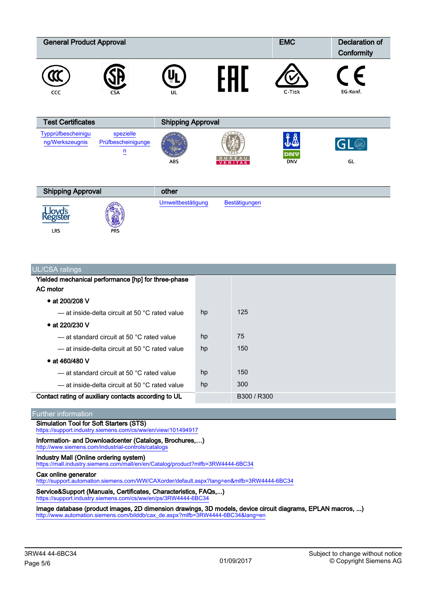| <b>General Product Approval</b>       |                                 |                          | <b>EMC</b> | Declaration of<br>Conformity |
|---------------------------------------|---------------------------------|--------------------------|------------|------------------------------|
| CCC                                   | <b>CSA</b>                      | UL                       | C-Tick     | EG-Konf.                     |
| <b>Test Certificates</b>              |                                 | <b>Shipping Approval</b> |            |                              |
| Typprüfbescheinigu<br>ng/Werkszeugnis | spezielle<br>Prüfbescheinigunge |                          |            |                              |

| <b>Shipping Approval</b> |            | other             |               |  |
|--------------------------|------------|-------------------|---------------|--|
| $\frac{100}{100}$        | 锡          | Umweltbestätigung | Bestätigungen |  |
| LRS                      | <b>PRS</b> |                   |               |  |

ABS

| UL/CSA ratings                                             |    |             |
|------------------------------------------------------------|----|-------------|
| Yielded mechanical performance [hp] for three-phase        |    |             |
| AC motor                                                   |    |             |
| • at 200/208 V                                             |    |             |
| - at inside-delta circuit at 50 °C rated value             | hp | 125         |
| • at 220/230 V                                             |    |             |
| - at standard circuit at 50 °C rated value                 | hp | 75          |
| $-$ at inside-delta circuit at 50 $^{\circ}$ C rated value | hp | 150         |
| • at 460/480 V                                             |    |             |
| — at standard circuit at 50 °C rated value                 | hp | 150         |
| $-$ at inside-delta circuit at 50 $^{\circ}$ C rated value | hp | 300         |
| Contact rating of auxiliary contacts according to UL       |    | B300 / R300 |

#### Further information

Simulation Tool for Soft Starters (STS) <https://support.industry.siemens.com/cs/ww/en/view/101494917>

# Information- and Downloadcenter (Catalogs, Brochures,…)

[n](https://support.industry.siemens.com/cs/WW/en/ps/3RW44%2044-6BC34/Certificate?ct=445&ci=495&cao=553)

<http://www.siemens.com/industrial-controls/catalogs>

### Industry Mall (Online ordering system)

<https://mall.industry.siemens.com/mall/en/en/Catalog/product?mlfb=3RW4444-6BC34>

## Cax online generator

<http://support.automation.siemens.com/WW/CAXorder/default.aspx?lang=en&mlfb=3RW4444-6BC34>

#### Service&Support (Manuals, Certificates, Characteristics, FAQs,...) <https://support.industry.siemens.com/cs/ww/en/ps/3RW4444-6BC34>

Image database (product images, 2D dimension drawings, 3D models, device circuit diagrams, EPLAN macros, ...) [http://www.automation.siemens.com/bilddb/cax\\_de.aspx?mlfb=3RW4444-6BC34&lang=en](http://www.automation.siemens.com/bilddb/cax_de.aspx?mlfb=3RW4444-6BC34&lang=en)

 $\mathsf{GL}(4)$ 

GL